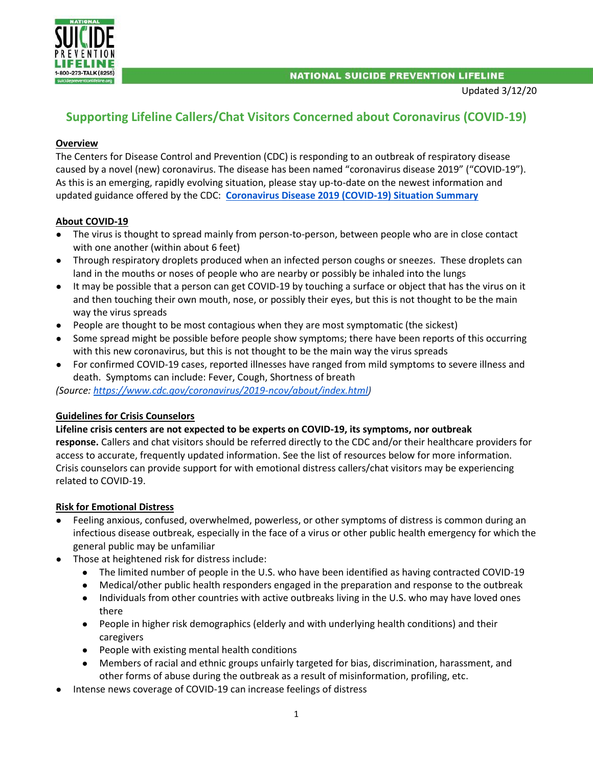

# **Supporting Lifeline Callers/Chat Visitors Concerned about Coronavirus (COVID-19)**

## **Overview**

The Centers for Disease Control and Prevention (CDC) is responding to an outbreak of respiratory disease caused by a novel (new) coronavirus. The disease has been named "coronavirus disease 2019" ("COVID-19"). As this is an emerging, rapidly evolving situation, please stay up-to-date on the newest information and updated guidance offered by the CDC: **[Coronavirus Disease 2019 \(COVID-19\) Situation Summary](https://www.cdc.gov/coronavirus/2019-nCoV/summary.html)**

## **About COVID-19**

- The virus is thought to spread mainly from person-to-person, between people who are in close contact with one another (within about 6 feet)
- Through respiratory droplets produced when an infected person coughs or sneezes. These droplets can land in the mouths or noses of people who are nearby or possibly be inhaled into the lungs
- It may be possible that a person can get COVID-19 by touching a surface or object that has the virus on it and then touching their own mouth, nose, or possibly their eyes, but this is not thought to be the main way the virus spreads
- People are thought to be most contagious when they are most symptomatic (the sickest)
- Some spread might be possible before people show symptoms; there have been reports of this occurring with this new coronavirus, but this is not thought to be the main way the virus spreads
- For confirmed COVID-19 cases, reported illnesses have ranged from mild symptoms to severe illness and death. Symptoms can include: Fever, Cough, Shortness of breath

*(Source: [https://www.cdc.gov/coronavirus/2019-ncov/about/index.html\)](https://www.cdc.gov/coronavirus/2019-ncov/about/index.html)*

## **Guidelines for Crisis Counselors**

### **Lifeline crisis centers are not expected to be experts on COVID-19, its symptoms, nor outbreak**

**response.** Callers and chat visitors should be referred directly to the CDC and/or their healthcare providers for access to accurate, frequently updated information. See the list of resources below for more information. Crisis counselors can provide support for with emotional distress callers/chat visitors may be experiencing related to COVID-19.

## **Risk for Emotional Distress**

- Feeling anxious, confused, overwhelmed, powerless, or other symptoms of distress is common during an infectious disease outbreak, especially in the face of a virus or other public health emergency for which the general public may be unfamiliar
- Those at heightened risk for distress include:
	- The limited number of people in the U.S. who have been identified as having contracted COVID-19
	- Medical/other public health responders engaged in the preparation and response to the outbreak
	- Individuals from other countries with active outbreaks living in the U.S. who may have loved ones there
	- People in higher risk demographics (elderly and with underlying health conditions) and their caregivers
	- People with existing mental health conditions
	- Members of racial and ethnic groups unfairly targeted for bias, discrimination, harassment, and other forms of abuse during the outbreak as a result of misinformation, profiling, etc.
- Intense news coverage of COVID-19 can increase feelings of distress